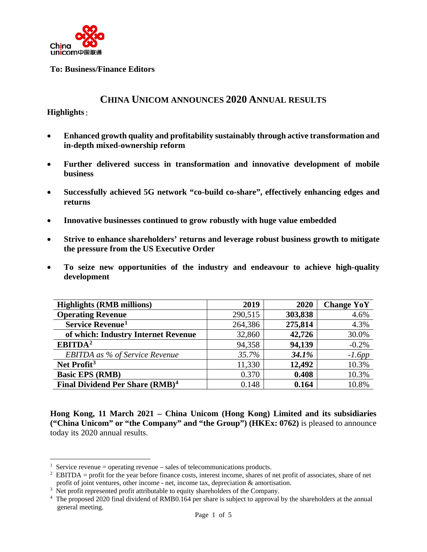

**To: Business/Finance Editors**

# **CHINA UNICOM ANNOUNCES 2020 ANNUAL RESULTS**

#### **Highlights**:

- **Enhanced growth quality and profitability sustainably through active transformation and in-depth mixed-ownership reform**
- **Further delivered success in transformation and innovative development of mobile business**
- **Successfully achieved 5G network "co-build co-share", effectively enhancing edges and returns**
- **Innovative businesses continued to grow robustly with huge value embedded**
- **Strive to enhance shareholders' returns and leverage robust business growth to mitigate the pressure from the US Executive Order**
- **To seize new opportunities of the industry and endeavour to achieve high-quality development**

| <b>Highlights (RMB millions)</b>            | 2019    | 2020    | <b>Change YoY</b> |
|---------------------------------------------|---------|---------|-------------------|
| <b>Operating Revenue</b>                    | 290,515 | 303,838 | 4.6%              |
| Service Revenue <sup>1</sup>                | 264,386 | 275,814 | 4.3%              |
| of which: Industry Internet Revenue         | 32,860  | 42,726  | 30.0%             |
| EBITDA <sup>2</sup>                         | 94,358  | 94,139  | $-0.2%$           |
| <b>EBITDA</b> as % of Service Revenue       | 35.7%   | 34.1%   | $-1.6pp$          |
| Net Profit <sup>3</sup>                     | 11,330  | 12,492  | 10.3%             |
| <b>Basic EPS (RMB)</b>                      | 0.370   | 0.408   | 10.3%             |
| Final Dividend Per Share (RMB) <sup>4</sup> | 0.148   | 0.164   | 10.8%             |

**Hong Kong, 11 March 2021 – China Unicom (Hong Kong) Limited and its subsidiaries ("China Unicom" or "the Company" and "the Group") (HKEx: 0762)** is pleased to announce today its 2020 annual results.

<span id="page-0-0"></span><sup>&</sup>lt;sup>1</sup> Service revenue = operating revenue – sales of telecommunications products.

<span id="page-0-1"></span> $2$  EBITDA = profit for the year before finance costs, interest income, shares of net profit of associates, share of net profit of joint ventures, other income - net, income tax, depreciation & amortisation.

<span id="page-0-2"></span><sup>&</sup>lt;sup>3</sup> Net profit represented profit attributable to equity shareholders of the Company.

<span id="page-0-3"></span><sup>&</sup>lt;sup>4</sup> The proposed 2020 final dividend of RMB0.164 per share is subject to approval by the shareholders at the annual general meeting.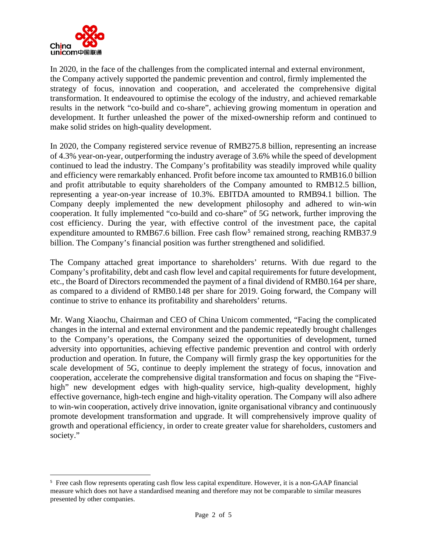

In 2020, in the face of the challenges from the complicated internal and external environment, the Company actively supported the pandemic prevention and control, firmly implemented the strategy of focus, innovation and cooperation, and accelerated the comprehensive digital transformation. It endeavoured to optimise the ecology of the industry, and achieved remarkable results in the network "co-build and co-share", achieving growing momentum in operation and development. It further unleashed the power of the mixed-ownership reform and continued to make solid strides on high-quality development.

In 2020, the Company registered service revenue of RMB275.8 billion, representing an increase of 4.3% year-on-year, outperforming the industry average of 3.6% while the speed of development continued to lead the industry. The Company's profitability was steadily improved while quality and efficiency were remarkably enhanced. Profit before income tax amounted to RMB16.0 billion and profit attributable to equity shareholders of the Company amounted to RMB12.5 billion, representing a year-on-year increase of 10.3%. EBITDA amounted to RMB94.1 billion. The Company deeply implemented the new development philosophy and adhered to win-win cooperation. It fully implemented "co-build and co-share" of 5G network, further improving the cost efficiency. During the year, with effective control of the investment pace, the capital expenditure amounted to RMB67.6 billion. Free cash flow<sup>[5](#page-1-0)</sup> remained strong, reaching RMB37.9 billion. The Company's financial position was further strengthened and solidified.

The Company attached great importance to shareholders' returns. With due regard to the Company's profitability, debt and cash flow level and capital requirements for future development, etc., the Board of Directors recommended the payment of a final dividend of RMB0.164 per share, as compared to a dividend of RMB0.148 per share for 2019. Going forward, the Company will continue to strive to enhance its profitability and shareholders' returns.

Mr. Wang Xiaochu, Chairman and CEO of China Unicom commented, "Facing the complicated changes in the internal and external environment and the pandemic repeatedly brought challenges to the Company's operations, the Company seized the opportunities of development, turned adversity into opportunities, achieving effective pandemic prevention and control with orderly production and operation. In future, the Company will firmly grasp the key opportunities for the scale development of 5G, continue to deeply implement the strategy of focus, innovation and cooperation, accelerate the comprehensive digital transformation and focus on shaping the "Fivehigh" new development edges with high-quality service, high-quality development, highly effective governance, high-tech engine and high-vitality operation. The Company will also adhere to win-win cooperation, actively drive innovation, ignite organisational vibrancy and continuously promote development transformation and upgrade. It will comprehensively improve quality of growth and operational efficiency, in order to create greater value for shareholders, customers and society."

<span id="page-1-0"></span><sup>5</sup> Free cash flow represents operating cash flow less capital expenditure. However, it is a non-GAAP financial measure which does not have a standardised meaning and therefore may not be comparable to similar measures presented by other companies.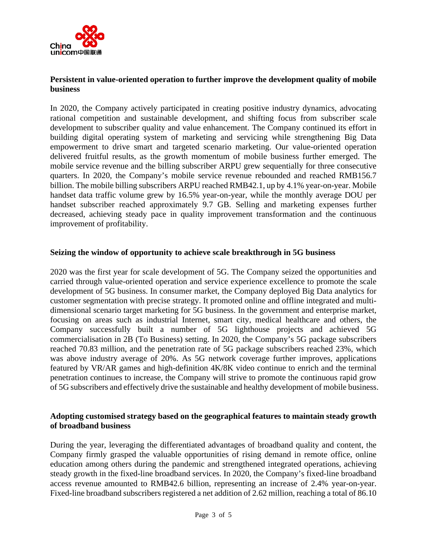

## **Persistent in value-oriented operation to further improve the development quality of mobile business**

In 2020, the Company actively participated in creating positive industry dynamics, advocating rational competition and sustainable development, and shifting focus from subscriber scale development to subscriber quality and value enhancement. The Company continued its effort in building digital operating system of marketing and servicing while strengthening Big Data empowerment to drive smart and targeted scenario marketing. Our value-oriented operation delivered fruitful results, as the growth momentum of mobile business further emerged. The mobile service revenue and the billing subscriber ARPU grew sequentially for three consecutive quarters. In 2020, the Company's mobile service revenue rebounded and reached RMB156.7 billion. The mobile billing subscribers ARPU reached RMB42.1, up by 4.1% year-on-year. Mobile handset data traffic volume grew by 16.5% year-on-year, while the monthly average DOU per handset subscriber reached approximately 9.7 GB. Selling and marketing expenses further decreased, achieving steady pace in quality improvement transformation and the continuous improvement of profitability.

#### **Seizing the window of opportunity to achieve scale breakthrough in 5G business**

2020 was the first year for scale development of 5G. The Company seized the opportunities and carried through value-oriented operation and service experience excellence to promote the scale development of 5G business. In consumer market, the Company deployed Big Data analytics for customer segmentation with precise strategy. It promoted online and offline integrated and multidimensional scenario target marketing for 5G business. In the government and enterprise market, focusing on areas such as industrial Internet, smart city, medical healthcare and others, the Company successfully built a number of 5G lighthouse projects and achieved 5G commercialisation in 2B (To Business) setting. In 2020, the Company's 5G package subscribers reached 70.83 million, and the penetration rate of 5G package subscribers reached 23%, which was above industry average of 20%. As 5G network coverage further improves, applications featured by VR/AR games and high-definition 4K/8K video continue to enrich and the terminal penetration continues to increase, the Company will strive to promote the continuous rapid grow of 5G subscribers and effectively drive the sustainable and healthy development of mobile business.

#### **Adopting customised strategy based on the geographical features to maintain steady growth of broadband business**

During the year, leveraging the differentiated advantages of broadband quality and content, the Company firmly grasped the valuable opportunities of rising demand in remote office, online education among others during the pandemic and strengthened integrated operations, achieving steady growth in the fixed-line broadband services. In 2020, the Company's fixed-line broadband access revenue amounted to RMB42.6 billion, representing an increase of 2.4% year-on-year. Fixed-line broadband subscribers registered a net addition of 2.62 million, reaching a total of 86.10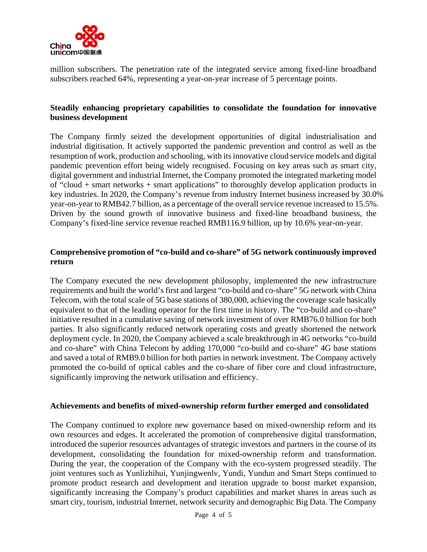

million subscribers. The penetration rate of the integrated service among fixed-line broadband subscribers reached 64%, representing a year-on-year increase of 5 percentage points.

## **Steadily enhancing proprietary capabilities to consolidate the foundation for innovative business development**

The Company firmly seized the development opportunities of digital industrialisation and industrial digitisation. It actively supported the pandemic prevention and control as well as the resumption of work, production and schooling, with its innovative cloud service models and digital pandemic prevention effort being widely recognised. Focusing on key areas such as smart city, digital government and industrial Internet, the Company promoted the integrated marketing model of "cloud + smart networks + smart applications" to thoroughly develop application products in key industries. In 2020, the Company's revenue from industry Internet business increased by 30.0% year-on-year to RMB42.7 billion, as a percentage of the overall service revenue increased to 15.5%. Driven by the sound growth of innovative business and fixed-line broadband business, the Company's fixed-line service revenue reached RMB116.9 billion, up by 10.6% year-on-year.

## **Comprehensive promotion of "co-build and co-share" of 5G network continuously improved return**

The Company executed the new development philosophy, implemented the new infrastructure requirements and built the world's first and largest "co-build and co-share" 5G network with China Telecom, with the total scale of 5G base stations of 380,000, achieving the coverage scale basically equivalent to that of the leading operator for the first time in history. The "co-build and co-share" initiative resulted in a cumulative saving of network investment of over RMB76.0 billion for both parties. It also significantly reduced network operating costs and greatly shortened the network deployment cycle. In 2020, the Company achieved a scale breakthrough in 4G networks "co-build and co-share" with China Telecom by adding 170,000 "co-build and co-share" 4G base stations and saved a total of RMB9.0 billion for both parties in network investment. The Company actively promoted the co-build of optical cables and the co-share of fiber core and cloud infrastructure, significantly improving the network utilisation and efficiency.

#### **Achievements and benefits of mixed-ownership reform further emerged and consolidated**

The Company continued to explore new governance based on mixed-ownership reform and its own resources and edges. It accelerated the promotion of comprehensive digital transformation, introduced the superior resources advantages of strategic investors and partners in the course of its development, consolidating the foundation for mixed-ownership reform and transformation. During the year, the cooperation of the Company with the eco-system progressed steadily. The joint ventures such as Yunlizhihui, Yunjingwenlv, Yundi, Yundun and Smart Steps continued to promote product research and development and iteration upgrade to boost market expansion, significantly increasing the Company's product capabilities and market shares in areas such as smart city, tourism, industrial Internet, network security and demographic Big Data. The Company